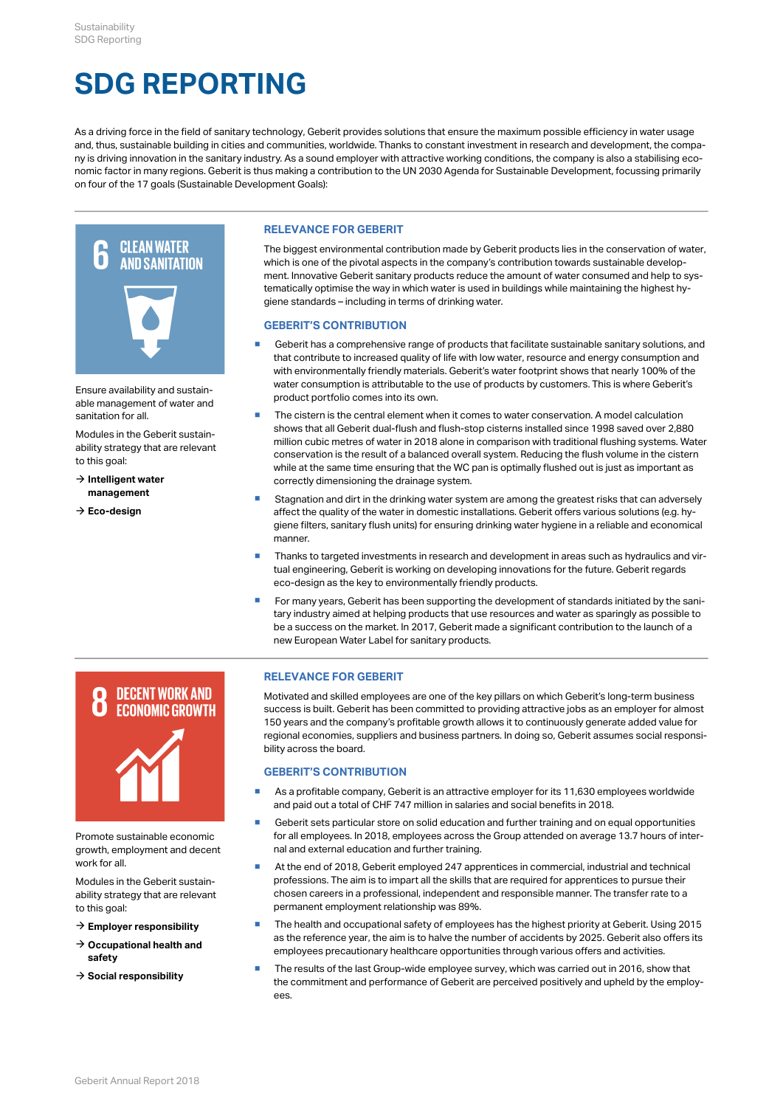# **SDG REPORTING**

As a driving force in the field of sanitary technology, Geberit provides solutions that ensure the maximum possible efficiency in water usage and, thus, sustainable building in cities and communities, worldwide. Thanks to constant investment in research and development, the company is driving innovation in the sanitary industry. As a sound employer with attractive working conditions, the company is also a stabilising economic factor in many regions. Geberit is thus making a contribution to the UN 2030 Agenda for Sustainable Development, focussing primarily on four of the 17 goals (Sustainable Development Goals):



Ensure availability and sustainable management of water and sanitation for all.

Modules in the Geberit sustainability strategy that are relevant to this goal:

- **[Intelligent water](http://annualreport.geberit.com/reports/geberit/annual/2018/gb/English/3040/sustainability-strategy-2019---2021.html?anchor=S5#S5)  [management](http://annualreport.geberit.com/reports/geberit/annual/2018/gb/English/3040/sustainability-strategy-2019---2021.html?anchor=S5#S5)**
- 

#### **RELEVANCE FOR GEBERIT**

The biggest environmental contribution made by Geberit products lies in the conservation of water, which is one of the pivotal aspects in the company's contribution towards sustainable development. Innovative Geberit sanitary products reduce the amount of water consumed and help to systematically optimise the way in which water is used in buildings while maintaining the highest hygiene standards – including in terms of drinking water.

#### **GEBERIT'S CONTRIBUTION**

- Geberit has a comprehensive range of products that facilitate sustainable sanitary solutions, and that contribute to increased quality of life with low water, resource and energy consumption and with environmentally friendly materials. Geberit's water footprint shows that nearly 100% of the water consumption is attributable to the use of products by customers. This is where Geberit's product portfolio comes into its own.
- The cistern is the central element when it comes to water conservation. A model calculation shows that all Geberit dual-flush and flush-stop cisterns installed since 1998 saved over 2,880 million cubic metres of water in 2018 alone in comparison with traditional flushing systems. Water conservation is the result of a balanced overall system. Reducing the flush volume in the cistern while at the same time ensuring that the WC pan is optimally flushed out is just as important as  $\rightarrow$  Intelligent water  $\rightarrow$  correctly dimensioning the drainage system.
- → **[Eco-design](http://annualreport.geberit.com/reports/geberit/annual/2018/gb/English/3040/sustainability-strategy-2019---2021.html?anchor=S7#S7)** example affect the quality of the water in domestic installations. Geberit offers various solutions (e.g. hy-■ Stagnation and dirt in the drinking water system are among the greatest risks that can adversely giene filters, sanitary flush units) for ensuring drinking water hygiene in a reliable and economical manner.
	- **Thanks to targeted investments in research and development in areas such as hydraulics and vir**tual engineering, Geberit is working on developing innovations for the future. Geberit regards eco-design as the key to environmentally friendly products.
	- **For many years, Geberit has been supporting the development of standards initiated by the sani**tary industry aimed at helping products that use resources and water as sparingly as possible to be a success on the market. In 2017, Geberit made a significant contribution to the launch of a new European Water Label for sanitary products.



Promote sustainable economic growth, employment and decent work for all

Modules in the Geberit sustainability strategy that are relevant to this goal:

- 
- **[safety](http://annualreport.geberit.com/reports/geberit/annual/2018/gb/English/3040/sustainability-strategy-2019---2021.html?anchor=S21#S21)**
- 

# **RELEVANCE FOR GEBERIT**

Motivated and skilled employees are one of the key pillars on which Geberit's long-term business success is built. Geberit has been committed to providing attractive jobs as an employer for almost 150 years and the company's profitable growth allows it to continuously generate added value for regional economies, suppliers and business partners. In doing so, Geberit assumes social responsibility across the board.

# **GEBERIT'S CONTRIBUTION**

- As a profitable company, Geberit is an attractive employer for its 11,630 employees worldwide and paid out a total of CHF 747 million in salaries and social benefits in 2018.
- Geberit sets particular store on solid education and further training and on equal opportunities for all employees. In 2018, employees across the Group attended on average 13.7 hours of internal and external education and further training.
- At the end of 2018, Geberit employed 247 apprentices in commercial, industrial and technical professions. The aim is to impart all the skills that are required for apprentices to pursue their chosen careers in a professional, independent and responsible manner. The transfer rate to a permanent employment relationship was 89%.
- **[Employer responsibility](http://annualreport.geberit.com/reports/geberit/annual/2018/gb/English/3040/sustainability-strategy-2019---2021.html?anchor=S1#S1) Fig. 5.4 The health and occupational** → [Occupational health and](http://annualreport.geberit.com/reports/geberit/annual/2018/gb/English/3040/sustainability-strategy-2019---2021.html?anchor=S21#S21)<br> **Accupational health and** ■ The health and occupational safety of employees has the highest priority at Geberit. Using 2015 as the reference year, the aim is to halve the number of accidents by 2025. Geberit also offers its employees precautionary healthcare opportunities through various offers and activities.
- → [Social responsibility](http://annualreport.geberit.com/reports/geberit/annual/2018/gb/English/3040/sustainability-strategy-2019---2021.html?anchor=S0#S0) the commitment and perform The results of the last Group-wide employee survey, which was carried out in 2016, show that the commitment and performance of Geberit are perceived positively and upheld by the employ ees. ▪